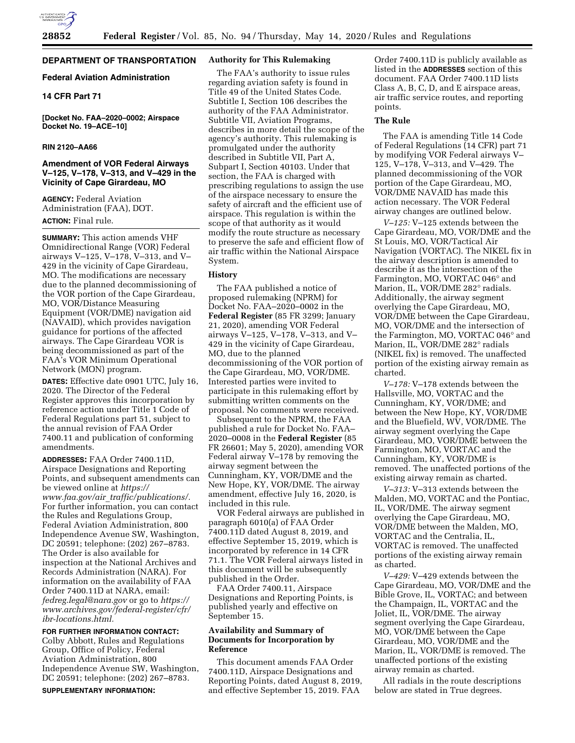

# **DEPARTMENT OF TRANSPORTATION**

### **Federal Aviation Administration**

### **14 CFR Part 71**

**[Docket No. FAA–2020–0002; Airspace Docket No. 19–ACE–10]** 

### **RIN 2120–AA66**

## **Amendment of VOR Federal Airways V–125, V–178, V–313, and V–429 in the Vicinity of Cape Girardeau, MO**

**AGENCY:** Federal Aviation Administration (FAA), DOT.

### **ACTION:** Final rule.

**SUMMARY:** This action amends VHF Omnidirectional Range (VOR) Federal airways V–125, V–178, V–313, and V– 429 in the vicinity of Cape Girardeau, MO. The modifications are necessary due to the planned decommissioning of the VOR portion of the Cape Girardeau, MO, VOR/Distance Measuring Equipment (VOR/DME) navigation aid (NAVAID), which provides navigation guidance for portions of the affected airways. The Cape Girardeau VOR is being decommissioned as part of the FAA's VOR Minimum Operational Network (MON) program.

**DATES:** Effective date 0901 UTC, July 16, 2020. The Director of the Federal Register approves this incorporation by reference action under Title 1 Code of Federal Regulations part 51, subject to the annual revision of FAA Order 7400.11 and publication of conforming amendments.

**ADDRESSES:** FAA Order 7400.11D, Airspace Designations and Reporting Points, and subsequent amendments can be viewed online at *[https://](https://www.faa.gov/air_traffic/publications/) www.faa.gov/air*\_*[traffic/publications/.](https://www.faa.gov/air_traffic/publications/)*  For further information, you can contact the Rules and Regulations Group, Federal Aviation Administration, 800 Independence Avenue SW, Washington, DC 20591; telephone: (202) 267–8783. The Order is also available for inspection at the National Archives and Records Administration (NARA). For information on the availability of FAA Order 7400.11D at NARA, email: *[fedreg.legal@nara.gov](mailto:fedreg.legal@nara.gov)* or go to *[https://](https://www.archives.gov/federal-register/cfr/ibr-locations.html) [www.archives.gov/federal-register/cfr/](https://www.archives.gov/federal-register/cfr/ibr-locations.html)  [ibr-locations.html.](https://www.archives.gov/federal-register/cfr/ibr-locations.html)* 

### **FOR FURTHER INFORMATION CONTACT:**

Colby Abbott, Rules and Regulations Group, Office of Policy, Federal Aviation Administration, 800 Independence Avenue SW, Washington, DC 20591; telephone: (202) 267–8783.

#### **SUPPLEMENTARY INFORMATION:**

### **Authority for This Rulemaking**

The FAA's authority to issue rules regarding aviation safety is found in Title 49 of the United States Code. Subtitle I, Section 106 describes the authority of the FAA Administrator. Subtitle VII, Aviation Programs, describes in more detail the scope of the agency's authority. This rulemaking is promulgated under the authority described in Subtitle VII, Part A, Subpart I, Section 40103. Under that section, the FAA is charged with prescribing regulations to assign the use of the airspace necessary to ensure the safety of aircraft and the efficient use of airspace. This regulation is within the scope of that authority as it would modify the route structure as necessary to preserve the safe and efficient flow of air traffic within the National Airspace System.

#### **History**

The FAA published a notice of proposed rulemaking (NPRM) for Docket No. FAA–2020–0002 in the **Federal Register** (85 FR 3299; January 21, 2020), amending VOR Federal airways V–125, V–178, V–313, and V– 429 in the vicinity of Cape Girardeau, MO, due to the planned decommissioning of the VOR portion of the Cape Girardeau, MO, VOR/DME. Interested parties were invited to participate in this rulemaking effort by submitting written comments on the proposal. No comments were received.

Subsequent to the NPRM, the FAA published a rule for Docket No. FAA– 2020–0008 in the **Federal Register** (85 FR 26601; May 5, 2020), amending VOR Federal airway V–178 by removing the airway segment between the Cunningham, KY, VOR/DME and the New Hope, KY, VOR/DME. The airway amendment, effective July 16, 2020, is included in this rule.

VOR Federal airways are published in paragraph 6010(a) of FAA Order 7400.11D dated August 8, 2019, and effective September 15, 2019, which is incorporated by reference in 14 CFR 71.1. The VOR Federal airways listed in this document will be subsequently published in the Order.

FAA Order 7400.11, Airspace Designations and Reporting Points, is published yearly and effective on September 15.

### **Availability and Summary of Documents for Incorporation by Reference**

This document amends FAA Order 7400.11D, Airspace Designations and Reporting Points, dated August 8, 2019, and effective September 15, 2019. FAA

Order 7400.11D is publicly available as listed in the **ADDRESSES** section of this document. FAA Order 7400.11D lists Class A, B, C, D, and E airspace areas, air traffic service routes, and reporting points.

#### **The Rule**

The FAA is amending Title 14 Code of Federal Regulations (14 CFR) part 71 by modifying VOR Federal airways V– 125, V–178, V–313, and V–429. The planned decommissioning of the VOR portion of the Cape Girardeau, MO, VOR/DME NAVAID has made this action necessary. The VOR Federal airway changes are outlined below.

*V–125:* V–125 extends between the Cape Girardeau, MO, VOR/DME and the St Louis, MO, VOR/Tactical Air Navigation (VORTAC). The NIKEL fix in the airway description is amended to describe it as the intersection of the Farmington, MO, VORTAC 046° and Marion, IL, VOR/DME 282° radials. Additionally, the airway segment overlying the Cape Girardeau, MO, VOR/DME between the Cape Girardeau, MO, VOR/DME and the intersection of the Farmington, MO, VORTAC 046° and Marion, IL, VOR/DME 282° radials (NIKEL fix) is removed. The unaffected portion of the existing airway remain as charted.

*V–178:* V–178 extends between the Hallsville, MO, VORTAC and the Cunningham, KY, VOR/DME; and between the New Hope, KY, VOR/DME and the Bluefield, WV, VOR/DME. The airway segment overlying the Cape Girardeau, MO, VOR/DME between the Farmington, MO, VORTAC and the Cunningham, KY, VOR/DME is removed. The unaffected portions of the existing airway remain as charted.

*V–313:* V–313 extends between the Malden, MO, VORTAC and the Pontiac, IL, VOR/DME. The airway segment overlying the Cape Girardeau, MO, VOR/DME between the Malden, MO, VORTAC and the Centralia, IL, VORTAC is removed. The unaffected portions of the existing airway remain as charted.

*V–429:* V–429 extends between the Cape Girardeau, MO, VOR/DME and the Bible Grove, IL, VORTAC; and between the Champaign, IL, VORTAC and the Joliet, IL, VOR/DME. The airway segment overlying the Cape Girardeau, MO, VOR/DME between the Cape Girardeau, MO, VOR/DME and the Marion, IL, VOR/DME is removed. The unaffected portions of the existing airway remain as charted.

All radials in the route descriptions below are stated in True degrees.